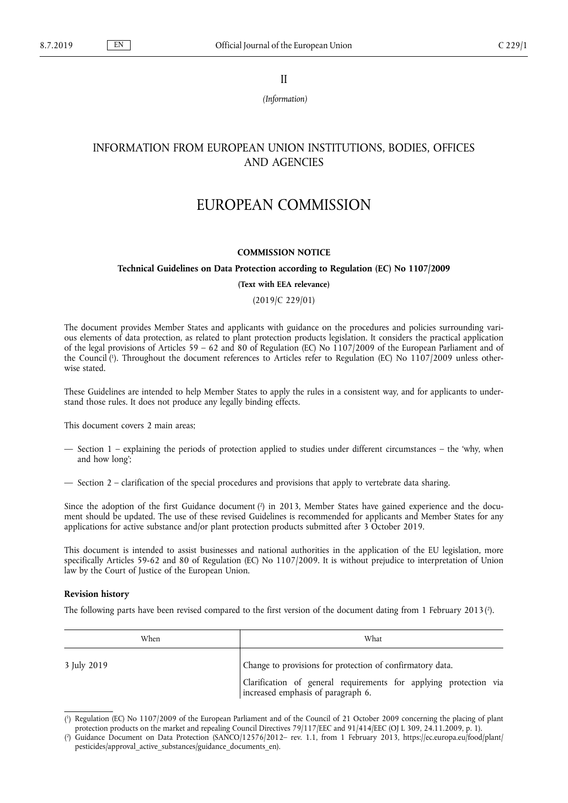II

*(Information)*

# INFORMATION FROM EUROPEAN UNION INSTITUTIONS, BODIES, OFFICES AND AGENCIES

# EUROPEAN COMMISSION

### **COMMISSION NOTICE**

## **Technical Guidelines on Data Protection according to Regulation (EC) No 1107/2009**

#### **(Text with EEA relevance)**

# (2019/C 229/01)

The document provides Member States and applicants with guidance on the procedures and policies surrounding various elements of data protection, as related to plant protection products legislation. It considers the practical application of the legal provisions of Articles 59 – 62 and 80 of Regulation (EC) No 1107/2009 of the European Parliament and of the Council ( 1 ). Throughout the document references to Articles refer to Regulation (EC) No 1107/2009 unless otherwise stated.

These Guidelines are intended to help Member States to apply the rules in a consistent way, and for applicants to understand those rules. It does not produce any legally binding effects.

This document covers 2 main areas;

- Section 1 explaining the periods of protection applied to studies under different circumstances the 'why, when and how long';
- Section 2 clarification of the special procedures and provisions that apply to vertebrate data sharing.

Since the adoption of the first Guidance document  $\binom{2}{1}$  in 2013, Member States have gained experience and the document should be updated. The use of these revised Guidelines is recommended for applicants and Member States for any applications for active substance and/or plant protection products submitted after 3 October 2019.

This document is intended to assist businesses and national authorities in the application of the EU legislation, more specifically Articles 59-62 and 80 of Regulation (EC) No 1107/2009. It is without prejudice to interpretation of Union law by the Court of Justice of the European Union.

### **Revision history**

The following parts have been revised compared to the first version of the document dating from 1 February 2013 $(2)$ .

| When        | What                                                                                                    |  |
|-------------|---------------------------------------------------------------------------------------------------------|--|
| 3 July 2019 | Change to provisions for protection of confirmatory data.                                               |  |
|             | Clarification of general requirements for applying protection via<br>increased emphasis of paragraph 6. |  |

<sup>(</sup> 1 ) Regulation (EC) No 1107/2009 of the European Parliament and of the Council of 21 October 2009 concerning the placing of plant protection products on the market and repealing Council Directives 79/117/EEC and 91/414/EEC (OJ L 309, 24.11.2009, p. 1).

<sup>(</sup> 2 ) Guidance Document on Data Protection (SANCO/12576/2012– rev. 1.1, from 1 February 2013, [https://ec.europa.eu/food/plant/](https://ec.europa.eu/food/plant/pesticides/approval_active_substances/guidance_documents_en) [pesticides/approval\\_active\\_substances/guidance\\_documents\\_en](https://ec.europa.eu/food/plant/pesticides/approval_active_substances/guidance_documents_en)).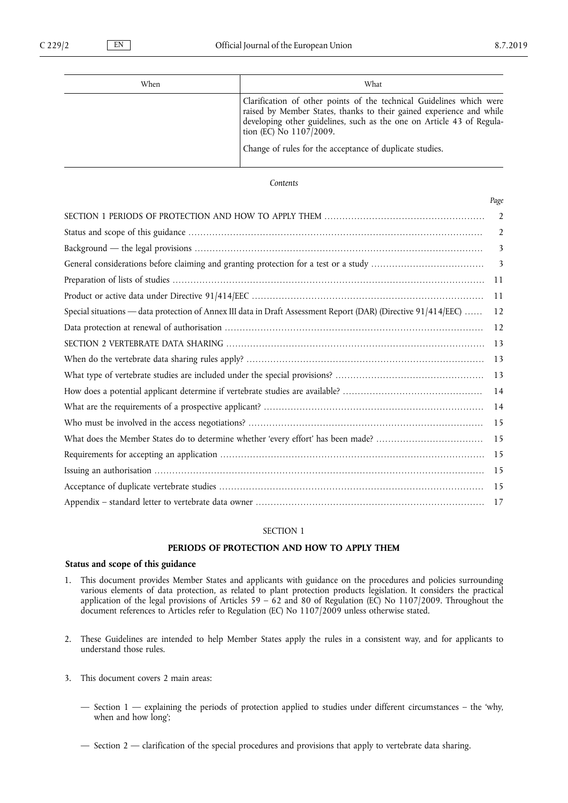| When | What                                                                                                                                                                                                                                                                                                         |  |
|------|--------------------------------------------------------------------------------------------------------------------------------------------------------------------------------------------------------------------------------------------------------------------------------------------------------------|--|
|      | Clarification of other points of the technical Guidelines which were<br>raised by Member States, thanks to their gained experience and while<br>developing other guidelines, such as the one on Article 43 of Regula-<br>tion (EC) No 1107/2009.<br>Change of rules for the acceptance of duplicate studies. |  |

## *Contents*

|                                                                                                                | Page           |
|----------------------------------------------------------------------------------------------------------------|----------------|
|                                                                                                                | $\overline{2}$ |
|                                                                                                                | 2              |
|                                                                                                                | 3              |
|                                                                                                                | 3              |
|                                                                                                                | 11             |
|                                                                                                                | 11             |
| Special situations — data protection of Annex III data in Draft Assessment Report (DAR) (Directive 91/414/EEC) | 12             |
|                                                                                                                | 12             |
|                                                                                                                | 13             |
|                                                                                                                | 13             |
|                                                                                                                | 13             |
|                                                                                                                | 14             |
|                                                                                                                | 14             |
|                                                                                                                | 15             |
|                                                                                                                | 15             |
|                                                                                                                | 15             |
|                                                                                                                | 15             |
|                                                                                                                | 15             |
|                                                                                                                | 17             |

# SECTION 1

### **PERIODS OF PROTECTION AND HOW TO APPLY THEM**

# **Status and scope of this guidance**

- 1. This document provides Member States and applicants with guidance on the procedures and policies surrounding various elements of data protection, as related to plant protection products legislation. It considers the practical application of the legal provisions of Articles 59 – 62 and 80 of Regulation (EC) No 1107/2009. Throughout the document references to Articles refer to Regulation (EC) No 1107/2009 unless otherwise stated.
- 2. These Guidelines are intended to help Member States apply the rules in a consistent way, and for applicants to understand those rules.
- 3. This document covers 2 main areas:
	- Section 1 explaining the periods of protection applied to studies under different circumstances the 'why, when and how long';
	- Section 2 clarification of the special procedures and provisions that apply to vertebrate data sharing.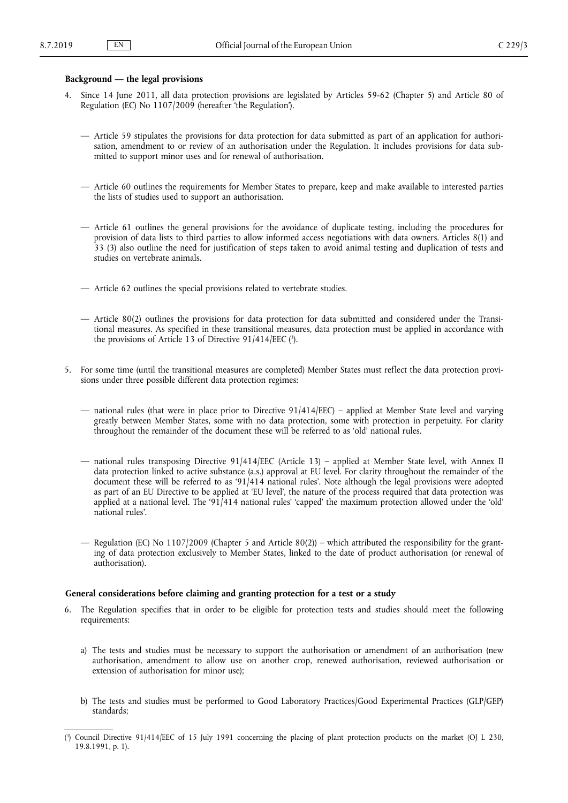# <span id="page-2-0"></span>**Background — the legal provisions**

- 4. Since 14 June 2011, all data protection provisions are legislated by Articles 59-62 (Chapter 5) and Article 80 of Regulation (EC) No 1107/2009 (hereafter 'the Regulation').
	- Article 59 stipulates the provisions for data protection for data submitted as part of an application for authorisation, amendment to or review of an authorisation under the Regulation. It includes provisions for data submitted to support minor uses and for renewal of authorisation.
	- Article 60 outlines the requirements for Member States to prepare, keep and make available to interested parties the lists of studies used to support an authorisation.
	- Article 61 outlines the general provisions for the avoidance of duplicate testing, including the procedures for provision of data lists to third parties to allow informed access negotiations with data owners. Articles 8(1) and 33 (3) also outline the need for justification of steps taken to avoid animal testing and duplication of tests and studies on vertebrate animals.
	- Article 62 outlines the special provisions related to vertebrate studies.
	- Article 80(2) outlines the provisions for data protection for data submitted and considered under the Transitional measures. As specified in these transitional measures, data protection must be applied in accordance with the provisions of Article 13 of Directive 91/414/EEC (3).
- 5. For some time (until the transitional measures are completed) Member States must reflect the data protection provisions under three possible different data protection regimes:
	- national rules (that were in place prior to Directive 91/414/EEC) applied at Member State level and varying greatly between Member States, some with no data protection, some with protection in perpetuity. For clarity throughout the remainder of the document these will be referred to as 'old' national rules.
	- national rules transposing Directive 91/414/EEC (Article 13) applied at Member State level, with Annex II data protection linked to active substance (a.s.) approval at EU level. For clarity throughout the remainder of the document these will be referred to as '91/414 national rules'. Note although the legal provisions were adopted as part of an EU Directive to be applied at 'EU level', the nature of the process required that data protection was applied at a national level. The '91/414 national rules' 'capped' the maximum protection allowed under the 'old' national rules'.
	- Regulation (EC) No 1107/2009 (Chapter 5 and Article 80(2)) which attributed the responsibility for the granting of data protection exclusively to Member States, linked to the date of product authorisation (or renewal of authorisation).

### **General considerations before claiming and granting protection for a test or a study**

- 6. The Regulation specifies that in order to be eligible for protection tests and studies should meet the following requirements:
	- a) The tests and studies must be necessary to support the authorisation or amendment of an authorisation (new authorisation, amendment to allow use on another crop, renewed authorisation, reviewed authorisation or extension of authorisation for minor use);
	- b) The tests and studies must be performed to Good Laboratory Practices/Good Experimental Practices (GLP/GEP) standards;

<sup>(</sup> 3 ) Council Directive 91/414/EEC of 15 July 1991 concerning the placing of plant protection products on the market (OJ L 230, 19.8.1991, p. 1).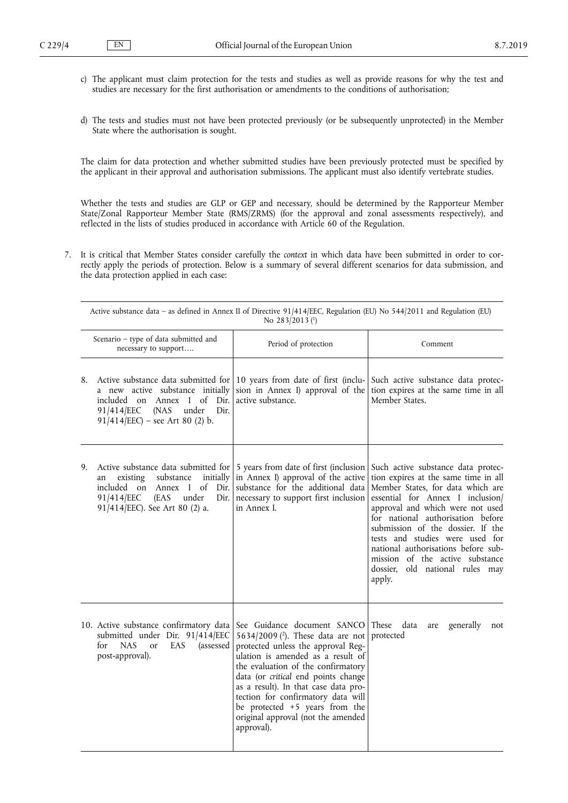- c) The applicant must claim protection for the tests and studies as well as provide reasons for why the test and studies are necessary for the first authorisation or amendments to the conditions of authorisation;
- d) The tests and studies must not have been protected previously (or be subsequently unprotected) in the Member State where the authorisation is sought.

The claim for data protection and whether submitted studies have been previously protected must be specified by the applicant in their approval and authorisation submissions. The applicant must also identify vertebrate studies.

Whether the tests and studies are GLP or GEP and necessary, should be determined by the Rapporteur Member State/Zonal Rapporteur Member State (RMS/ZRMS) (for the approval and zonal assessments respectively), and reflected in the lists of studies produced in accordance with Article 60 of the Regulation.

7. It is critical that Member States consider carefully the *context* in which data have been submitted in order to correctly apply the periods of protection. Below is a summary of several different scenarios for data submission, and the data protection applied in each case:

|    | Active substance data – as defined in Annex II of Directive 91/414/EEC, Regulation (EU) No 544/2011 and Regulation (EU)<br>No 283/2013 (1)                                                                             |                                                                                                                                                                                                                                                                                                                                                                                                         |                                                                                                                                                                                                                                                                                                                                                                                                                             |
|----|------------------------------------------------------------------------------------------------------------------------------------------------------------------------------------------------------------------------|---------------------------------------------------------------------------------------------------------------------------------------------------------------------------------------------------------------------------------------------------------------------------------------------------------------------------------------------------------------------------------------------------------|-----------------------------------------------------------------------------------------------------------------------------------------------------------------------------------------------------------------------------------------------------------------------------------------------------------------------------------------------------------------------------------------------------------------------------|
|    | Scenario - type of data submitted and<br>necessary to support                                                                                                                                                          | Period of protection                                                                                                                                                                                                                                                                                                                                                                                    | Comment                                                                                                                                                                                                                                                                                                                                                                                                                     |
| 8. | Active substance data submitted for 10 years from date of first (inclu-<br>a new active substance initially<br>included on Annex I of Dir.<br>91/414/EEC<br>(NAS)<br>under<br>Dir.<br>$91/414/EEC$ – see Art 80 (2) b. | sion in Annex I) approval of the<br>active substance.                                                                                                                                                                                                                                                                                                                                                   | Such active substance data protec-<br>tion expires at the same time in all<br>Member States.                                                                                                                                                                                                                                                                                                                                |
| 9. | Active substance data submitted for<br>substance<br>initially<br>existing<br>an<br>included on Annex I of Dir.<br>91/414/EEC<br>(EAS<br>under<br>Dir.<br>91/414/EEC). See Art 80 (2) a.                                | 5 years from date of first (inclusion<br>in Annex I) approval of the active<br>substance for the additional data<br>necessary to support first inclusion<br>in Annex I.                                                                                                                                                                                                                                 | Such active substance data protec-<br>tion expires at the same time in all<br>Member States, for data which are<br>essential for Annex I inclusion/<br>approval and which were not used<br>for national authorisation before<br>submission of the dossier. If the<br>tests and studies were used for<br>national authorisations before sub-<br>mission of the active substance<br>dossier, old national rules may<br>apply. |
|    | 10. Active substance confirmatory data<br>submitted under Dir. 91/414/EEC<br>for<br><b>NAS</b><br>EAS<br>(assessed<br><sub>or</sub><br>post-approval).                                                                 | See Guidance document SANCO These data<br>5634/2009 (2). These data are not<br>protected unless the approval Reg-<br>ulation is amended as a result of<br>the evaluation of the confirmatory<br>data (or critical end points change<br>as a result). In that case data pro-<br>tection for confirmatory data will<br>be protected +5 years from the<br>original approval (not the amended<br>approval). | generally<br>are<br>not<br>protected                                                                                                                                                                                                                                                                                                                                                                                        |

Active substance data – as defined in Annex II of Directive 91/414/EEC, Regulation (EU) No 544/2011 and Regulation (EU)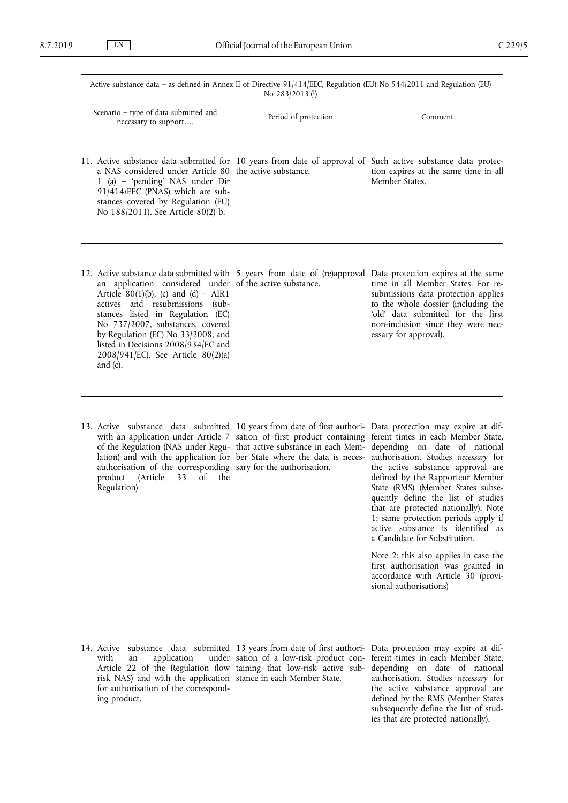| Active substance data - as defined in Annex II of Directive 91/414/EEC, Regulation (EU) No 544/2011 and Regulation (EU)<br>No 283/2013 (1)                                                                                                                                                                                                                        |                                                                                                                                                                                       |                                                                                                                                                                                                                                                                                                                                                                                                                                                                                                                                                                                                           |
|-------------------------------------------------------------------------------------------------------------------------------------------------------------------------------------------------------------------------------------------------------------------------------------------------------------------------------------------------------------------|---------------------------------------------------------------------------------------------------------------------------------------------------------------------------------------|-----------------------------------------------------------------------------------------------------------------------------------------------------------------------------------------------------------------------------------------------------------------------------------------------------------------------------------------------------------------------------------------------------------------------------------------------------------------------------------------------------------------------------------------------------------------------------------------------------------|
| Scenario - type of data submitted and<br>necessary to support                                                                                                                                                                                                                                                                                                     | Period of protection                                                                                                                                                                  | Comment                                                                                                                                                                                                                                                                                                                                                                                                                                                                                                                                                                                                   |
| 11. Active substance data submitted for<br>a NAS considered under Article 80<br>1 (a) – 'pending' NAS under Dir<br>91/414/EEC (PNAS) which are sub-<br>stances covered by Regulation (EU)<br>No 188/2011). See Article 80(2) b.                                                                                                                                   | 10 years from date of approval of<br>the active substance.                                                                                                                            | Such active substance data protec-<br>tion expires at the same time in all<br>Member States.                                                                                                                                                                                                                                                                                                                                                                                                                                                                                                              |
| 12. Active substance data submitted with<br>an application considered under<br>Article 80(1)(b), (c) and (d) - AIR1<br>actives and resubmissions (sub-<br>stances listed in Regulation (EC)<br>No 737/2007, substances, covered<br>by Regulation (EC) No 33/2008, and<br>listed in Decisions 2008/934/EC and<br>2008/941/EC). See Article 80(2)(a)<br>and $(c)$ . | 5 years from date of (re)approval<br>of the active substance.                                                                                                                         | Data protection expires at the same<br>time in all Member States. For re-<br>submissions data protection applies<br>to the whole dossier (including the<br>'old' data submitted for the first<br>non-inclusion since they were nec-<br>essary for approval).                                                                                                                                                                                                                                                                                                                                              |
| 13. Active substance data submitted<br>with an application under Article 7<br>of the Regulation (NAS under Regu-<br>lation) and with the application for<br>authorisation of the corresponding<br>of<br>product<br>(Article<br>the<br>33<br>Regulation)                                                                                                           | 10 years from date of first authori-<br>sation of first product containing<br>that active substance in each Mem-<br>ber State where the data is neces-<br>sary for the authorisation. | Data protection may expire at dif-<br>ferent times in each Member State,<br>depending on date of national<br>authorisation. Studies necessary for<br>the active substance approval are<br>defined by the Rapporteur Member<br>State (RMS) (Member States subse-<br>quently define the list of studies<br>that are protected nationally). Note<br>1: same protection periods apply if<br>active substance is identified as<br>a Candidate for Substitution.<br>Note 2: this also applies in case the<br>first authorisation was granted in<br>accordance with Article 30 (provi-<br>sional authorisations) |
| 14. Active substance data submitted<br>with<br>application<br>under<br>an<br>Article 22 of the Regulation (low<br>risk NAS) and with the application<br>for authorisation of the correspond-<br>ing product.                                                                                                                                                      | 13 years from date of first authori-<br>sation of a low-risk product con-<br>taining that low-risk active sub-<br>stance in each Member State.                                        | Data protection may expire at dif-<br>ferent times in each Member State,<br>depending on date of national<br>authorisation. Studies necessary for<br>the active substance approval are<br>defined by the RMS (Member States<br>subsequently define the list of stud-<br>ies that are protected nationally).                                                                                                                                                                                                                                                                                               |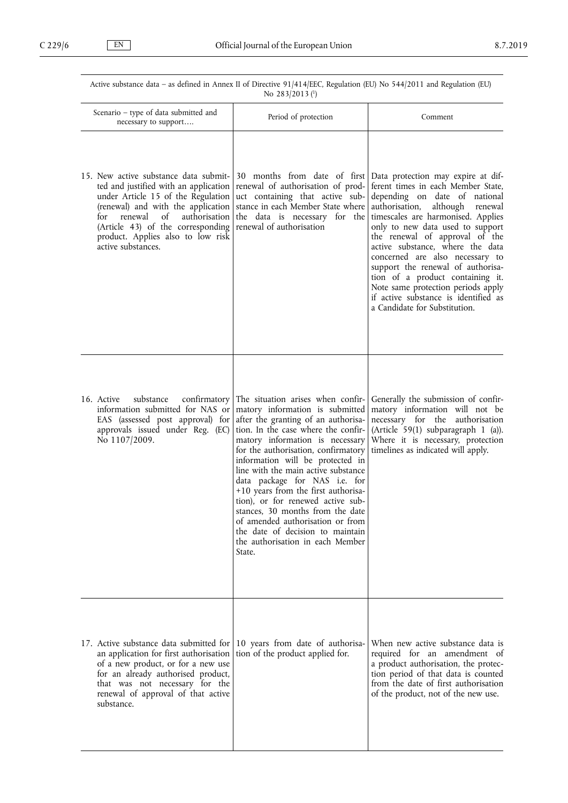| Active substance data - as defined in Annex II of Directive 91/414/EEC, Regulation (EU) No 544/2011 and Regulation (EU)<br>No 283/2013 (1)                                                                                                                                                          |                                                                                                                                                                                                                                                                                                                                                                                                                                                                                                                                                                                |                                                                                                                                                                                                                                                                                                                                                                                                                                                                                                                                                              |
|-----------------------------------------------------------------------------------------------------------------------------------------------------------------------------------------------------------------------------------------------------------------------------------------------------|--------------------------------------------------------------------------------------------------------------------------------------------------------------------------------------------------------------------------------------------------------------------------------------------------------------------------------------------------------------------------------------------------------------------------------------------------------------------------------------------------------------------------------------------------------------------------------|--------------------------------------------------------------------------------------------------------------------------------------------------------------------------------------------------------------------------------------------------------------------------------------------------------------------------------------------------------------------------------------------------------------------------------------------------------------------------------------------------------------------------------------------------------------|
| Scenario - type of data submitted and<br>necessary to support                                                                                                                                                                                                                                       | Period of protection                                                                                                                                                                                                                                                                                                                                                                                                                                                                                                                                                           | Comment                                                                                                                                                                                                                                                                                                                                                                                                                                                                                                                                                      |
| 15. New active substance data submit-<br>ted and justified with an application<br>under Article 15 of the Regulation<br>(renewal) and with the application<br>for<br>renewal<br>of<br>authorisation<br>(Article 43) of the corresponding<br>product. Applies also to low risk<br>active substances. | renewal of authorisation of prod-<br>uct containing that active sub-<br>stance in each Member State where<br>the data is necessary for the<br>renewal of authorisation                                                                                                                                                                                                                                                                                                                                                                                                         | 30 months from date of first   Data protection may expire at dif-<br>ferent times in each Member State,<br>depending on date of national<br>authorisation,<br>although<br>renewal<br>timescales are harmonised. Applies<br>only to new data used to support<br>the renewal of approval of the<br>active substance, where the data<br>concerned are also necessary to<br>support the renewal of authorisa-<br>tion of a product containing it.<br>Note same protection periods apply<br>if active substance is identified as<br>a Candidate for Substitution. |
| 16. Active<br>confirmatory<br>substance<br>information submitted for NAS or<br>EAS (assessed post approval) for<br>approvals issued under Reg. (EC)<br>No 1107/2009.                                                                                                                                | The situation arises when confir-<br>matory information is submitted<br>after the granting of an authorisa-<br>tion. In the case where the confir-<br>matory information is necessary<br>for the authorisation, confirmatory<br>information will be protected in<br>line with the main active substance<br>data package for NAS i.e. for<br>+10 years from the first authorisa-<br>tion), or for renewed active sub-<br>stances, 30 months from the date<br>of amended authorisation or from<br>the date of decision to maintain<br>the authorisation in each Member<br>State. | Generally the submission of confir-<br>matory information will not be<br>necessary for the authorisation<br>(Article 59(1) subparagraph 1 (a)).<br>Where it is necessary, protection<br>timelines as indicated will apply.                                                                                                                                                                                                                                                                                                                                   |
| 17. Active substance data submitted for<br>an application for first authorisation<br>of a new product, or for a new use<br>for an already authorised product,<br>that was not necessary for the<br>renewal of approval of that active<br>substance.                                                 | 10 years from date of authorisa-<br>tion of the product applied for.                                                                                                                                                                                                                                                                                                                                                                                                                                                                                                           | When new active substance data is<br>required for an amendment of<br>a product authorisation, the protec-<br>tion period of that data is counted<br>from the date of first authorisation<br>of the product, not of the new use.                                                                                                                                                                                                                                                                                                                              |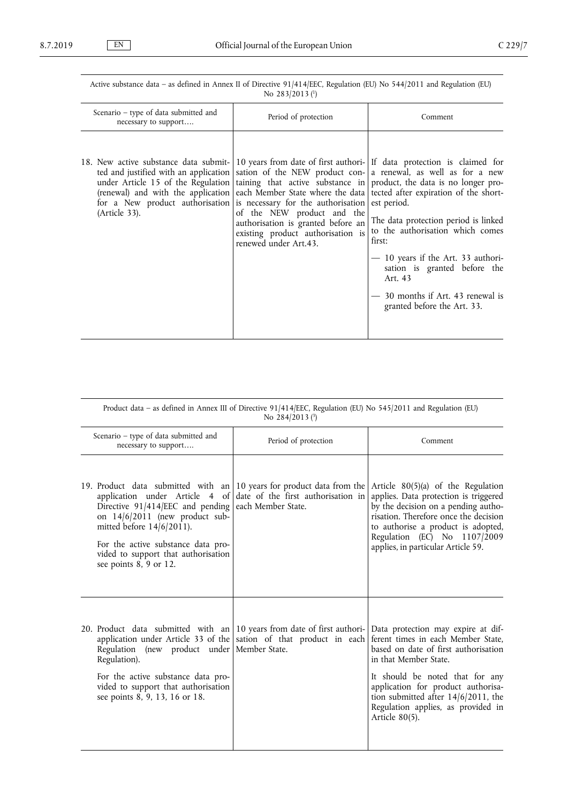Active substance data – as defined in Annex II of Directive 91/414/EEC, Regulation (EU) No 544/2011 and Regulation (EU) No 283/2013 (<sup>1</sup>)

| Scenario – type of data submitted and<br>necessary to support                                                                                                                                                   | Period of protection                                                                                                           | Comment                                                                                                                                                                                                                                                                                                                                                                                                                                                                                                                                                                          |
|-----------------------------------------------------------------------------------------------------------------------------------------------------------------------------------------------------------------|--------------------------------------------------------------------------------------------------------------------------------|----------------------------------------------------------------------------------------------------------------------------------------------------------------------------------------------------------------------------------------------------------------------------------------------------------------------------------------------------------------------------------------------------------------------------------------------------------------------------------------------------------------------------------------------------------------------------------|
| 18. New active substance data submit- 10 years from date of first authori- If data protection is claimed for<br>for a New product authorisation is necessary for the authorisation est period.<br>(Article 33). | of the NEW product and the<br>authorisation is granted before an<br>existing product authorisation is<br>renewed under Art.43. | ted and justified with an application sation of the NEW product con- a renewal, as well as for a new<br>under Article 15 of the Regulation $\vert$ taining that active substance in product, the data is no longer pro-<br>(renewal) and with the application each Member State where the data tected after expiration of the short-<br>The data protection period is linked<br>to the authorisation which comes<br>first:<br>$-10$ years if the Art. 33 authori-<br>sation is granted before the<br>Art. 43<br>- 30 months if Art. 43 renewal is<br>granted before the Art. 33. |

Product data – as defined in Annex III of Directive 91/414/EEC, Regulation (EU) No 545/2011 and Regulation (EU) No 284/2013 (3)

| Scenario - type of data submitted and<br>necessary to support                                                                                                                                                                                                                                                                                                              | Period of protection | Comment                                                                                                                                                                                                                                                                                                                 |
|----------------------------------------------------------------------------------------------------------------------------------------------------------------------------------------------------------------------------------------------------------------------------------------------------------------------------------------------------------------------------|----------------------|-------------------------------------------------------------------------------------------------------------------------------------------------------------------------------------------------------------------------------------------------------------------------------------------------------------------------|
| 19. Product data submitted with an 10 years for product data from the<br>application under Article 4 of date of the first authorisation in<br>Directive 91/414/EEC and pending each Member State.<br>on 14/6/2011 (new product sub-<br>mitted before $14/6/2011$ ).<br>For the active substance data pro-<br>vided to support that authorisation<br>see points 8, 9 or 12. |                      | Article $80(5)(a)$ of the Regulation<br>applies. Data protection is triggered<br>by the decision on a pending autho-<br>risation. Therefore once the decision<br>to authorise a product is adopted,<br>Regulation (EC) No 1107/2009<br>applies, in particular Article 59.                                               |
| 20. Product data submitted with an 10 years from date of first authori-<br>application under Article 33 of the sation of that product in each<br>Regulation (new product under Member State.<br>Regulation).<br>For the active substance data pro-<br>vided to support that authorisation<br>see points 8, 9, 13, 16 or 18.                                                |                      | Data protection may expire at dif-<br>ferent times in each Member State,<br>based on date of first authorisation<br>in that Member State.<br>It should be noted that for any<br>application for product authorisa-<br>tion submitted after $14/6/2011$ , the<br>Regulation applies, as provided in<br>Article $80(5)$ . |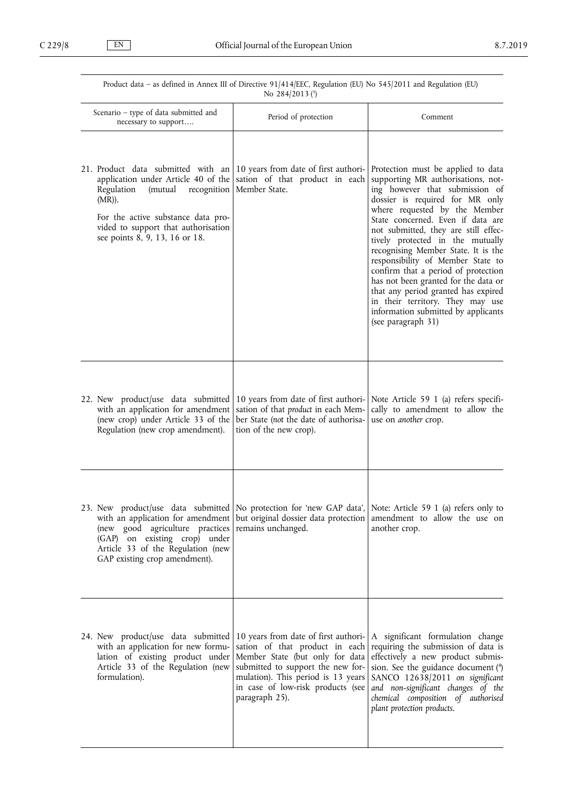| Product data - as defined in Annex III of Directive 91/414/EEC, Regulation (EU) No 545/2011 and Regulation (EU)<br>No $284/2013$ ( $^{3}$ )                                                                                                   |                                                                                                                                                                                                                                             |                                                                                                                                                                                                                                                                                                                                                                                                                                                                                                                                                                                                    |
|-----------------------------------------------------------------------------------------------------------------------------------------------------------------------------------------------------------------------------------------------|---------------------------------------------------------------------------------------------------------------------------------------------------------------------------------------------------------------------------------------------|----------------------------------------------------------------------------------------------------------------------------------------------------------------------------------------------------------------------------------------------------------------------------------------------------------------------------------------------------------------------------------------------------------------------------------------------------------------------------------------------------------------------------------------------------------------------------------------------------|
| Scenario – type of data submitted and<br>necessary to support                                                                                                                                                                                 | Period of protection                                                                                                                                                                                                                        | Comment                                                                                                                                                                                                                                                                                                                                                                                                                                                                                                                                                                                            |
| 21. Product data submitted with an<br>application under Article 40 of the<br>Regulation<br>(mutual<br>recognition<br>$(MR)$ ).<br>For the active substance data pro-<br>vided to support that authorisation<br>see points 8, 9, 13, 16 or 18. | 10 years from date of first authori-<br>sation of that product in each<br>Member State.                                                                                                                                                     | Protection must be applied to data<br>supporting MR authorisations, not-<br>ing however that submission of<br>dossier is required for MR only<br>where requested by the Member<br>State concerned. Even if data are<br>not submitted, they are still effec-<br>tively protected in the mutually<br>recognising Member State. It is the<br>responsibility of Member State to<br>confirm that a period of protection<br>has not been granted for the data or<br>that any period granted has expired<br>in their territory. They may use<br>information submitted by applicants<br>(see paragraph 31) |
| 22. New product/use data submitted<br>with an application for amendment<br>(new crop) under Article 33 of the<br>Regulation (new crop amendment).                                                                                             | 10 years from date of first authori-<br>sation of that product in each Mem-<br>ber State (not the date of authorisa-<br>tion of the new crop).                                                                                              | Note Article 59 1 (a) refers specifi-<br>cally to amendment to allow the<br>use on another crop.                                                                                                                                                                                                                                                                                                                                                                                                                                                                                                   |
| 23. New product/use data submitted<br>with an application for amendment<br>(new good agriculture practices<br>(GAP) on existing crop) under<br>Article 33 of the Regulation (new<br>GAP existing crop amendment).                             | No protection for 'new GAP data',<br>but original dossier data protection<br>remains unchanged.                                                                                                                                             | Note: Article 59 1 (a) refers only to<br>amendment to allow the use on<br>another crop.                                                                                                                                                                                                                                                                                                                                                                                                                                                                                                            |
| 24. New product/use data submitted<br>with an application for new formu-<br>lation of existing product under<br>Article 33 of the Regulation (new<br>formulation).                                                                            | 10 years from date of first authori-<br>sation of that product in each<br>Member State (but only for data<br>submitted to support the new for-<br>mulation). This period is 13 years<br>in case of low-risk products (see<br>paragraph 25). | A significant formulation change<br>requiring the submission of data is<br>effectively a new product submis-<br>sion. See the guidance document (4)<br>SANCO 12638/2011 on significant<br>and non-significant changes of the<br>chemical composition of authorised<br>plant protection products.                                                                                                                                                                                                                                                                                                   |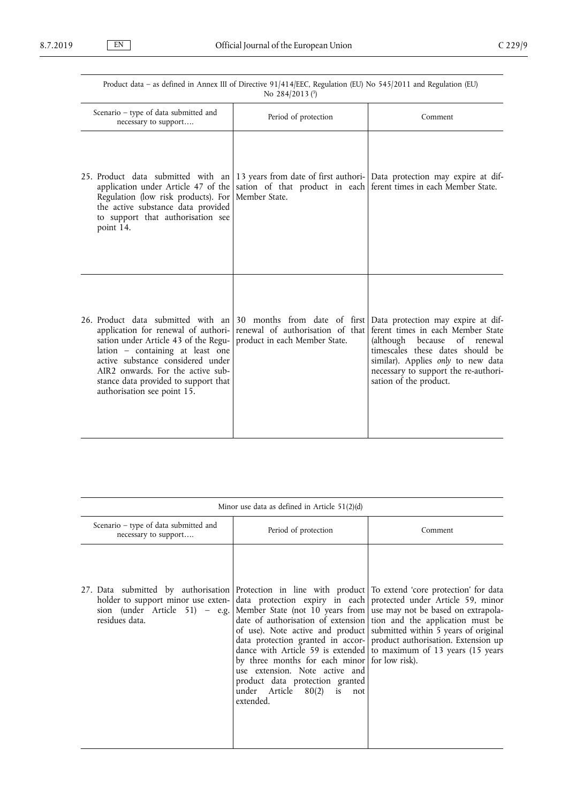| No 284/2013 (3)                                                                                                                                                                                                                                                                                        |                                                                                                   |                                                                                                                                                                                                                                                     |
|--------------------------------------------------------------------------------------------------------------------------------------------------------------------------------------------------------------------------------------------------------------------------------------------------------|---------------------------------------------------------------------------------------------------|-----------------------------------------------------------------------------------------------------------------------------------------------------------------------------------------------------------------------------------------------------|
| Scenario - type of data submitted and<br>necessary to support                                                                                                                                                                                                                                          | Period of protection                                                                              | Comment                                                                                                                                                                                                                                             |
| 25. Product data submitted with an<br>application under Article 47 of the<br>Regulation (low risk products). For<br>the active substance data provided<br>to support that authorisation see<br>point 14.                                                                                               | sation of that product in each ferent times in each Member State.<br>Member State.                | 13 years from date of first authori- Data protection may expire at dif-                                                                                                                                                                             |
| 26. Product data submitted with an<br>application for renewal of authori-<br>sation under Article 43 of the Regu-<br>lation - containing at least one<br>active substance considered under<br>AIR2 onwards. For the active sub-<br>stance data provided to support that<br>authorisation see point 15. | 30 months from date of first<br>renewal of authorisation of that<br>product in each Member State. | Data protection may expire at dif-<br>ferent times in each Member State<br>(although because of renewal<br>timescales these dates should be<br>similar). Applies only to new data<br>necessary to support the re-authori-<br>sation of the product. |

| Minor use data as defined in Article $51(2)(d)$                                                                                                                                                    |                                                                                                                                                               |                                                                                                                                                                                                                                                                                                                                                                                                                                       |
|----------------------------------------------------------------------------------------------------------------------------------------------------------------------------------------------------|---------------------------------------------------------------------------------------------------------------------------------------------------------------|---------------------------------------------------------------------------------------------------------------------------------------------------------------------------------------------------------------------------------------------------------------------------------------------------------------------------------------------------------------------------------------------------------------------------------------|
| Scenario – type of data submitted and<br>necessary to support                                                                                                                                      | Period of protection                                                                                                                                          | Comment                                                                                                                                                                                                                                                                                                                                                                                                                               |
| 27. Data submitted by authorisation Protection in line with product To extend 'core protection' for data<br>holder to support minor use exten-<br>sion (under Article 51) - e.g.<br>residues data. | by three months for each minor for low risk).<br>use extension. Note active and<br>product data protection granted<br>under Article 80(2) is not<br>extended. | data protection expiry in each protected under Article 59, minor<br>Member State (not 10 years from use may not be based on extrapola-<br>date of authorisation of extension tion and the application must be<br>of use). Note active and product submitted within 5 years of original<br>data protection granted in accor- product authorisation. Extension up<br>dance with Article 59 is extended to maximum of 13 years (15 years |

Product data – as defined in Annex III of Directive 91/414/EEC, Regulation (EU) No 545/2011 and Regulation (EU)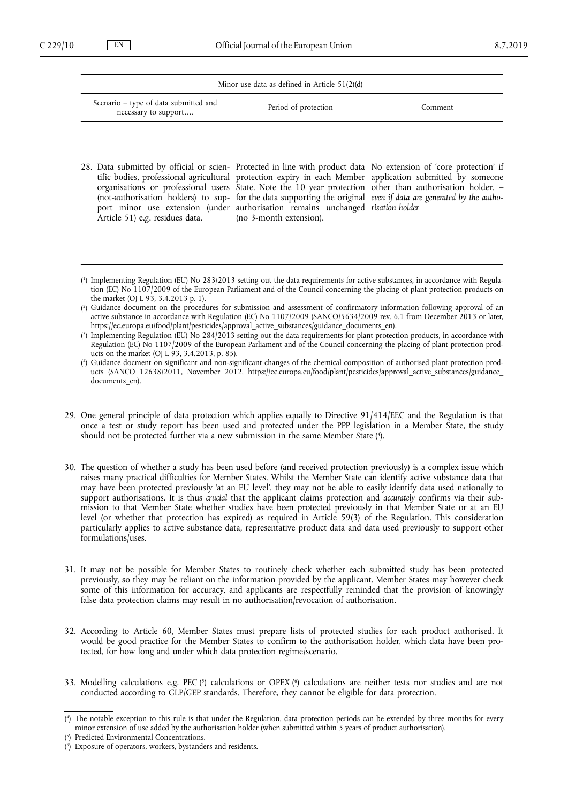#### Minor use data as defined in Article 51(2)(d)

| Scenario – type of data submitted and<br>necessary to support                                                                                                                                                                           | Period of protection    | Comment                                                                                                                                                                                                                                                                                                                                     |
|-----------------------------------------------------------------------------------------------------------------------------------------------------------------------------------------------------------------------------------------|-------------------------|---------------------------------------------------------------------------------------------------------------------------------------------------------------------------------------------------------------------------------------------------------------------------------------------------------------------------------------------|
| 28. Data submitted by official or scien- Protected in line with product data No extension of 'core protection' if<br>port minor use extension (under authorisation remains unchanged risation holder<br>Article 51) e.g. residues data. | (no 3-month extension). | tific bodies, professional agricultural protection expiry in each Member application submitted by someone<br>organisations or professional users State. Note the 10 year protection other than authorisation holder. -<br>(not-authorisation holders) to sup- for the data supporting the original even if data are generated by the autho- |

( 1 ) Implementing Regulation (EU) No 283/2013 setting out the data requirements for active substances, in accordance with Regulation (EC) No 1107/2009 of the European Parliament and of the Council concerning the placing of plant protection products on the market (OJ L 93, 3.4.2013 p. 1).

( 2 ) Guidance document on the procedures for submission and assessment of confirmatory information following approval of an active substance in accordance with Regulation (EC) No 1107/2009 (SANCO/5634/2009 rev. 6.1 from December 2013 or later, [https://ec.europa.eu/food/plant/pesticides/approval\\_active\\_substances/guidance\\_documents\\_en\)](https://ec.europa.eu/food/plant/pesticides/approval_active_substances/guidance_documents_en).

( 3 ) Implementing Regulation (EU) No 284/2013 setting out the data requirements for plant protection products, in accordance with Regulation (EC) No 1107/2009 of the European Parliament and of the Council concerning the placing of plant protection products on the market (OJ L 93, 3.4.2013, p. 85).

- ( 4 ) Guidance docment on significant and non-significant changes of the chemical composition of authorised plant protection products (SANCO 12638/2011, November 2012, [https://ec.europa.eu/food/plant/pesticides/approval\\_active\\_substances/guidance\\_](https://ec.europa.eu/food/plant/pesticides/approval_active_substances/guidance_documents_en) documents en).
- 29. One general principle of data protection which applies equally to Directive 91/414/EEC and the Regulation is that once a test or study report has been used and protected under the PPP legislation in a Member State, the study should not be protected further via a new submission in the same Member State ( 4 ).
- 30. The question of whether a study has been used before (and received protection previously) is a complex issue which raises many practical difficulties for Member States. Whilst the Member State can identify active substance data that may have been protected previously 'at an EU level', they may not be able to easily identify data used nationally to support authorisations. It is thus *crucial* that the applicant claims protection and *accurately* confirms via their submission to that Member State whether studies have been protected previously in that Member State or at an EU level (or whether that protection has expired) as required in Article 59(3) of the Regulation. This consideration particularly applies to active substance data, representative product data and data used previously to support other formulations/uses.
- 31. It may not be possible for Member States to routinely check whether each submitted study has been protected previously, so they may be reliant on the information provided by the applicant. Member States may however check some of this information for accuracy, and applicants are respectfully reminded that the provision of knowingly false data protection claims may result in no authorisation/revocation of authorisation.
- 32. According to Article 60, Member States must prepare lists of protected studies for each product authorised. It would be good practice for the Member States to confirm to the authorisation holder, which data have been protected, for how long and under which data protection regime/scenario.
- 33. Modelling calculations e.g. PEC  $\binom{5}{2}$  calculations or OPEX  $\binom{6}{2}$  calculations are neither tests nor studies and are not conducted according to GLP/GEP standards. Therefore, they cannot be eligible for data protection.

<sup>(</sup> 4 ) The notable exception to this rule is that under the Regulation, data protection periods can be extended by three months for every minor extension of use added by the authorisation holder (when submitted within 5 years of product authorisation).

<sup>(</sup> 5 ) Predicted Environmental Concentrations.

<sup>(</sup> 6 ) Exposure of operators, workers, bystanders and residents.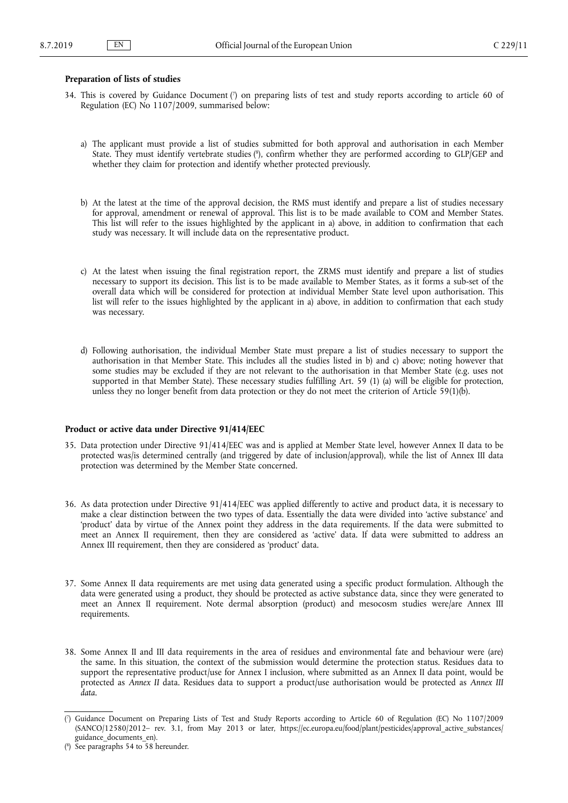### <span id="page-10-0"></span>**Preparation of lists of studies**

- 34. This is covered by Guidance Document ( 7 ) on preparing lists of test and study reports according to article 60 of Regulation (EC) No 1107/2009, summarised below:
	- a) The applicant must provide a list of studies submitted for both approval and authorisation in each Member State. They must identify vertebrate studies (<sup>8</sup>), confirm whether they are performed according to GLP/GEP and whether they claim for protection and identify whether protected previously.
	- b) At the latest at the time of the approval decision, the RMS must identify and prepare a list of studies necessary for approval, amendment or renewal of approval. This list is to be made available to COM and Member States. This list will refer to the issues highlighted by the applicant in a) above, in addition to confirmation that each study was necessary. It will include data on the representative product.
	- c) At the latest when issuing the final registration report, the ZRMS must identify and prepare a list of studies necessary to support its decision. This list is to be made available to Member States, as it forms a sub-set of the overall data which will be considered for protection at individual Member State level upon authorisation. This list will refer to the issues highlighted by the applicant in a) above, in addition to confirmation that each study was necessary.
	- d) Following authorisation, the individual Member State must prepare a list of studies necessary to support the authorisation in that Member State. This includes all the studies listed in b) and c) above; noting however that some studies may be excluded if they are not relevant to the authorisation in that Member State (e.g. uses not supported in that Member State). These necessary studies fulfilling Art. 59 (1) (a) will be eligible for protection, unless they no longer benefit from data protection or they do not meet the criterion of Article 59(1)(b).

### **Product or active data under Directive 91/414/EEC**

- 35. Data protection under Directive 91/414/EEC was and is applied at Member State level, however Annex II data to be protected was/is determined centrally (and triggered by date of inclusion/approval), while the list of Annex III data protection was determined by the Member State concerned.
- 36. As data protection under Directive 91/414/EEC was applied differently to active and product data, it is necessary to make a clear distinction between the two types of data. Essentially the data were divided into 'active substance' and 'product' data by virtue of the Annex point they address in the data requirements. If the data were submitted to meet an Annex II requirement, then they are considered as 'active' data. If data were submitted to address an Annex III requirement, then they are considered as 'product' data.
- 37. Some Annex II data requirements are met using data generated using a specific product formulation. Although the data were generated using a product, they should be protected as active substance data, since they were generated to meet an Annex II requirement. Note dermal absorption (product) and mesocosm studies were/are Annex III requirements.
- 38. Some Annex II and III data requirements in the area of residues and environmental fate and behaviour were (are) the same. In this situation, the context of the submission would determine the protection status. Residues data to support the representative product/use for Annex I inclusion, where submitted as an Annex II data point, would be protected as *Annex II* data. Residues data to support a product/use authorisation would be protected as *Annex III data*.

<sup>(</sup> 7 ) Guidance Document on Preparing Lists of Test and Study Reports according to Article 60 of Regulation (EC) No 1107/2009 (SANCO/12580/2012– rev. 3.1, from May 2013 or later, https://ec.europa.eu/food/plant/pesticides/approval active substances/ guidance documents en).

<sup>(</sup> 8 ) See paragraphs 54 to 58 hereunder.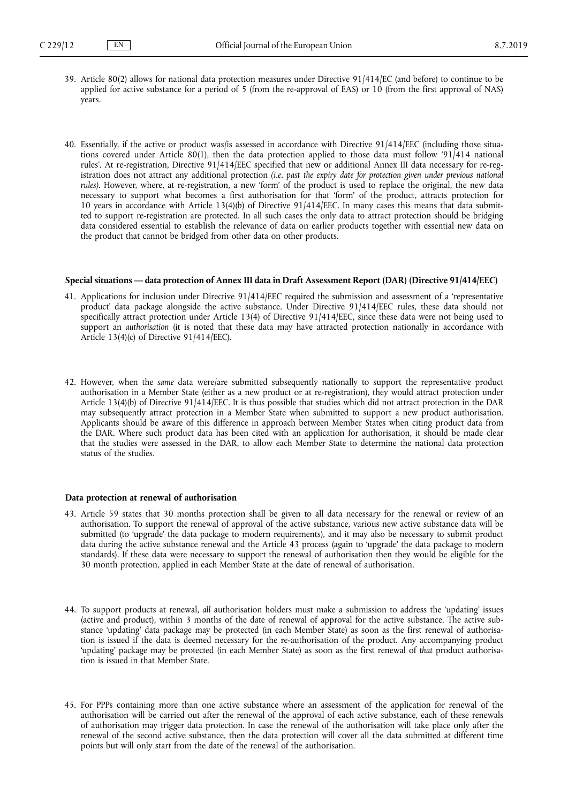- <span id="page-11-0"></span>39. Article 80(2) allows for national data protection measures under Directive 91/414/EC (and before) to continue to be applied for active substance for a period of 5 (from the re-approval of EAS) or 10 (from the first approval of NAS) years.
- 40. Essentially, if the active or product was/is assessed in accordance with Directive 91/414/EEC (including those situations covered under Article 80(1), then the data protection applied to those data must follow '91/414 national rules'. At re-registration, Directive 91/414/EEC specified that new or additional Annex III data necessary for re-registration does not attract any additional protection *(i.e. past the expiry date for protection given under previous national rules)*. However, where, at re-registration, a new 'form' of the product is used to replace the original, the new data necessary to support what becomes a first authorisation for that 'form' of the product, attracts protection for 10 years in accordance with Article 13(4)(b) of Directive 91/414/EEC. In many cases this means that data submitted to support re-registration are protected. In all such cases the only data to attract protection should be bridging data considered essential to establish the relevance of data on earlier products together with essential new data on the product that cannot be bridged from other data on other products.

### **Special situations — data protection of Annex III data in Draft Assessment Report (DAR) (Directive 91/414/EEC)**

- 41. Applications for inclusion under Directive 91/414/EEC required the submission and assessment of a 'representative product' data package alongside the active substance. Under Directive 91/414/EEC rules, these data should not specifically attract protection under Article 13(4) of Directive 91/414/EEC, since these data were not being used to support an *authorisation* (it is noted that these data may have attracted protection nationally in accordance with Article 13(4)(c) of Directive 91/414/EEC).
- 42. However, when the *same* data were/are submitted subsequently nationally to support the representative product authorisation in a Member State (either as a new product or at re-registration), they would attract protection under Article 13(4)(b) of Directive 91/414/EEC. It is thus possible that studies which did not attract protection in the DAR may subsequently attract protection in a Member State when submitted to support a new product authorisation. Applicants should be aware of this difference in approach between Member States when citing product data from the DAR. Where such product data has been cited with an application for authorisation, it should be made clear that the studies were assessed in the DAR, to allow each Member State to determine the national data protection status of the studies.

#### **Data protection at renewal of authorisation**

- 43. Article 59 states that 30 months protection shall be given to all data necessary for the renewal or review of an authorisation. To support the renewal of approval of the active substance, various new active substance data will be submitted (to 'upgrade' the data package to modern requirements), and it may also be necessary to submit product data during the active substance renewal and the Article 43 process (again to 'upgrade' the data package to modern standards). If these data were necessary to support the renewal of authorisation then they would be eligible for the 30 month protection, applied in each Member State at the date of renewal of authorisation.
- 44. To support products at renewal, *all* authorisation holders must make a submission to address the 'updating' issues (active and product), within 3 months of the date of renewal of approval for the active substance. The active substance 'updating' data package may be protected (in each Member State) as soon as the first renewal of authorisation is issued if the data is deemed necessary for the re-authorisation of the product. Any accompanying product 'updating' package may be protected (in each Member State) as soon as the first renewal of *that* product authorisation is issued in that Member State.
- 45. For PPPs containing more than one active substance where an assessment of the application for renewal of the authorisation will be carried out after the renewal of the approval of each active substance, each of these renewals of authorisation may trigger data protection. In case the renewal of the authorisation will take place only after the renewal of the second active substance, then the data protection will cover all the data submitted at different time points but will only start from the date of the renewal of the authorisation.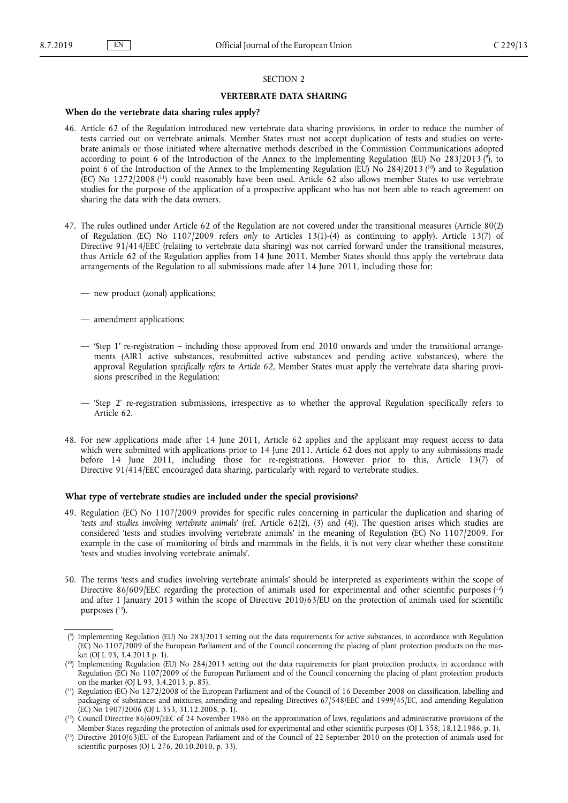<span id="page-12-0"></span>

# SECTION 2

### **VERTEBRATE DATA SHARING**

#### **When do the vertebrate data sharing rules apply?**

- 46. Article 62 of the Regulation introduced new vertebrate data sharing provisions, in order to reduce the number of tests carried out on vertebrate animals. Member States must not accept duplication of tests and studies on vertebrate animals or those initiated where alternative methods described in the Commission Communications adopted according to point 6 of the Introduction of the Annex to the Implementing Regulation (EU) No 283/2013 (°), to point 6 of the Introduction of the Annex to the Implementing Regulation (EU) No 284/2013 (<sup>10</sup>) and to Regulation (EC) No 1272/2008 ( <sup>11</sup>) could reasonably have been used. Article 62 also allows member States to use vertebrate studies for the purpose of the application of a prospective applicant who has not been able to reach agreement on sharing the data with the data owners.
- 47. The rules outlined under Article 62 of the Regulation are not covered under the transitional measures (Article 80(2) of Regulation (EC) No 1107/2009 refers *only* to Articles 13(1)-(4) as continuing to apply). Article 13(7) of Directive 91/414/EEC (relating to vertebrate data sharing) was not carried forward under the transitional measures, thus Article 62 of the Regulation applies from 14 June 2011. Member States should thus apply the vertebrate data arrangements of the Regulation to all submissions made after 14 June 2011, including those for:
	- new product (zonal) applications;
	- amendment applications;
	- 'Step 1' re-registration including those approved from end 2010 onwards and under the transitional arrangements (AIR1 active substances, resubmitted active substances and pending active substances), where the approval Regulation *specifically refers to Article 62*, Member States must apply the vertebrate data sharing provisions prescribed in the Regulation;
	- 'Step 2' re-registration submissions, irrespective as to whether the approval Regulation specifically refers to Article 62.
- 48. For new applications made after 14 June 2011, Article 62 applies and the applicant may request access to data which were submitted with applications prior to 14 June 2011. Article 62 does not apply to any submissions made before 14 June 2011, including those for re-registrations. However prior to this, Article 13(7) of Directive 91/414/EEC encouraged data sharing, particularly with regard to vertebrate studies.

### **What type of vertebrate studies are included under the special provisions?**

- 49. Regulation (EC) No 1107/2009 provides for specific rules concerning in particular the duplication and sharing of '*tests and studies involving vertebrate animals*' (ref. Article 62(2), (3) and (4)). The question arises which studies are considered 'tests and studies involving vertebrate animals' in the meaning of Regulation (EC) No 1107/2009. For example in the case of monitoring of birds and mammals in the fields, it is not very clear whether these constitute 'tests and studies involving vertebrate animals'.
- 50. The terms 'tests and studies involving vertebrate animals' should be interpreted as experiments within the scope of Directive 86/609/EEC regarding the protection of animals used for experimental and other scientific purposes  $\binom{12}{1}$ and after 1 January 2013 within the scope of Directive 2010/63/EU on the protection of animals used for scientific purposes (<sup>13</sup>).

<sup>(</sup> 9 ) Implementing Regulation (EU) No 283/2013 setting out the data requirements for active substances, in accordance with Regulation (EC) No 1107/2009 of the European Parliament and of the Council concerning the placing of plant protection products on the market (OJ L 93, 3.4.2013 p. 1).

<sup>&</sup>lt;sup>(10</sup>) Implementing Regulation (EU) No 284/2013 setting out the data requirements for plant protection products, in accordance with Regulation (EC) No 1107/2009 of the European Parliament and of the Council concerning the placing of plant protection products on the market (OJ L 93, 3.4.2013, p. 85).

<sup>(</sup> <sup>11</sup>) Regulation (EC) No 1272/2008 of the European Parliament and of the Council of 16 December 2008 on classification, labelling and packaging of substances and mixtures, amending and repealing Directives 67/548/EEC and 1999/45/EC, and amending Regulation (EC) No 1907/2006 (OJ L 353, 31.12.2008, p. 1).

<sup>(</sup> <sup>12</sup>) Council Directive 86/609/EEC of 24 November 1986 on the approximation of laws, regulations and administrative provisions of the Member States regarding the protection of animals used for experimental and other scientific purposes (OJ L 358, 18.12.1986, p. 1).

<sup>(</sup> <sup>13</sup>) Directive 2010/63/EU of the European Parliament and of the Council of 22 September 2010 on the protection of animals used for scientific purposes (OJ L 276, 20.10.2010, p. 33).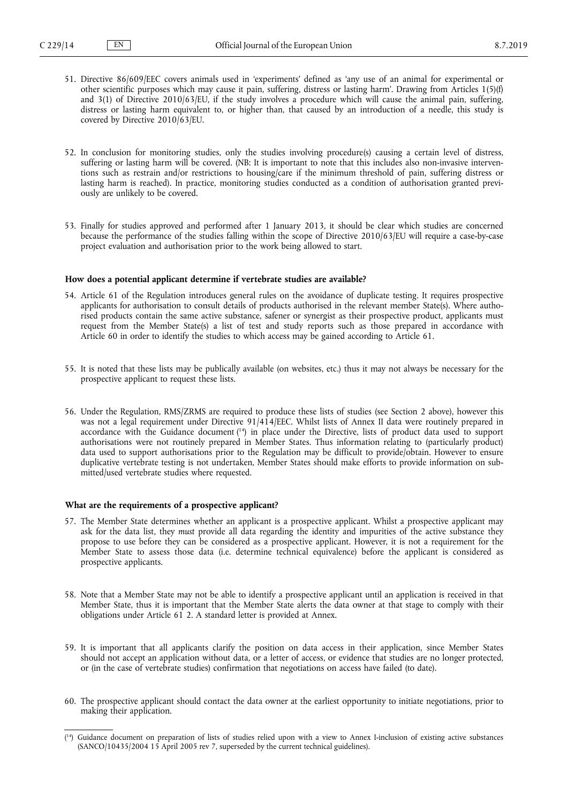- <span id="page-13-0"></span>51. Directive 86/609/EEC covers animals used in 'experiments' defined as 'any use of an animal for experimental or other scientific purposes which may cause it pain, suffering, distress or lasting harm'. Drawing from Articles 1(5)(f) and 3(1) of Directive 2010/63/EU, if the study involves a procedure which will cause the animal pain, suffering, distress or lasting harm equivalent to, or higher than, that caused by an introduction of a needle, this study is covered by Directive 2010/63/EU.
- 52. In conclusion for monitoring studies, only the studies involving procedure(s) causing a certain level of distress, suffering or lasting harm will be covered. (NB: It is important to note that this includes also non-invasive interventions such as restrain and/or restrictions to housing/care if the minimum threshold of pain, suffering distress or lasting harm is reached). In practice, monitoring studies conducted as a condition of authorisation granted previously are unlikely to be covered.
- 53. Finally for studies approved and performed after 1 January 2013, it should be clear which studies are concerned because the performance of the studies falling within the scope of Directive 2010/63/EU will require a case-by-case project evaluation and authorisation prior to the work being allowed to start.

#### **How does a potential applicant determine if vertebrate studies are available?**

- 54. Article 61 of the Regulation introduces general rules on the avoidance of duplicate testing. It requires prospective applicants for authorisation to consult details of products authorised in the relevant member State(s). Where authorised products contain the same active substance, safener or synergist as their prospective product, applicants must request from the Member State(s) a list of test and study reports such as those prepared in accordance with Article 60 in order to identify the studies to which access may be gained according to Article 61.
- 55. It is noted that these lists may be publically available (on websites, etc.) thus it may not always be necessary for the prospective applicant to request these lists.
- 56. Under the Regulation, RMS/ZRMS are required to produce these lists of studies (see Section 2 above), however this was not a legal requirement under Directive 91/414/EEC. Whilst lists of Annex II data were routinely prepared in accordance with the Guidance document ( <sup>14</sup>) in place under the Directive, lists of product data used to support authorisations were not routinely prepared in Member States. Thus information relating to (particularly product) data used to support authorisations prior to the Regulation may be difficult to provide/obtain. However to ensure duplicative vertebrate testing is not undertaken, Member States should make efforts to provide information on submitted/used vertebrate studies where requested.

### **What are the requirements of a prospective applicant?**

- 57. The Member State determines whether an applicant is a prospective applicant. Whilst a prospective applicant may ask for the data list, they *must* provide all data regarding the identity and impurities of the active substance they propose to use before they can be considered as a prospective applicant. However, it is not a requirement for the Member State to assess those data (i.e. determine technical equivalence) before the applicant is considered as prospective applicants.
- 58. Note that a Member State may not be able to identify a prospective applicant until an application is received in that Member State, thus it is important that the Member State alerts the data owner at that stage to comply with their obligations under Article 61 2. A standard letter is provided at Annex.
- 59. It is important that all applicants clarify the position on data access in their application, since Member States should not accept an application without data, or a letter of access, or evidence that studies are no longer protected, or (in the case of vertebrate studies) confirmation that negotiations on access have failed (to date).
- 60. The prospective applicant should contact the data owner at the earliest opportunity to initiate negotiations, prior to making their application.

<sup>(</sup> <sup>14</sup>) Guidance document on preparation of lists of studies relied upon with a view to Annex I-inclusion of existing active substances (SANCO/10435/2004 15 April 2005 rev 7, superseded by the current technical guidelines).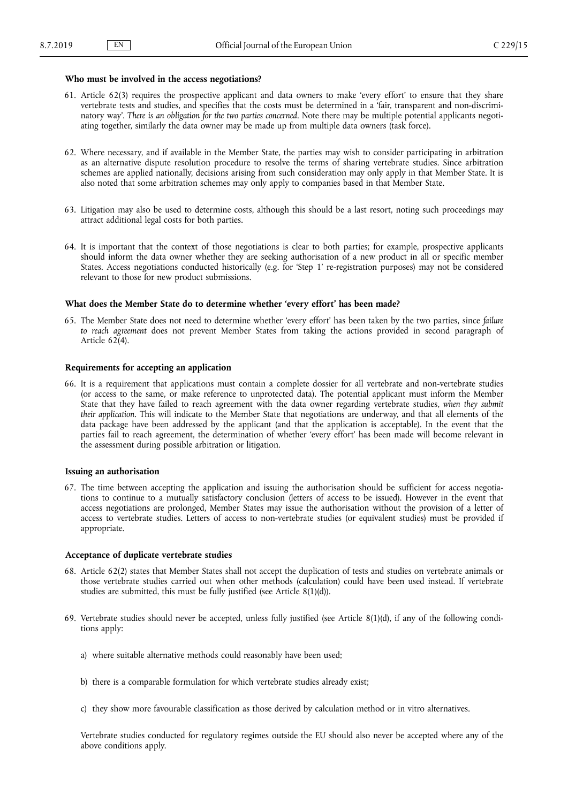### <span id="page-14-0"></span>**Who must be involved in the access negotiations?**

- 61. Article 62(3) requires the prospective applicant and data owners to make 'every effort' to ensure that they share vertebrate tests and studies, and specifies that the costs must be determined in a 'fair, transparent and non-discriminatory way'. *There is an obligation for the two parties concerned*. Note there may be multiple potential applicants negotiating together, similarly the data owner may be made up from multiple data owners (task force).
- 62. Where necessary, and if available in the Member State, the parties may wish to consider participating in arbitration as an alternative dispute resolution procedure to resolve the terms of sharing vertebrate studies. Since arbitration schemes are applied nationally, decisions arising from such consideration may only apply in that Member State. It is also noted that some arbitration schemes may only apply to companies based in that Member State.
- 63. Litigation may also be used to determine costs, although this should be a last resort, noting such proceedings may attract additional legal costs for both parties.
- 64. It is important that the context of those negotiations is clear to both parties; for example, prospective applicants should inform the data owner whether they are seeking authorisation of a new product in all or specific member States. Access negotiations conducted historically (e.g. for 'Step 1' re-registration purposes) may not be considered relevant to those for new product submissions.

#### **What does the Member State do to determine whether 'every effort' has been made?**

65. The Member State does not need to determine whether 'every effort' has been taken by the two parties, since *failure to reach agreement* does not prevent Member States from taking the actions provided in second paragraph of Article  $62(4)$ .

### **Requirements for accepting an application**

66. It is a requirement that applications must contain a complete dossier for all vertebrate and non-vertebrate studies (or access to the same, or make reference to unprotected data). The potential applicant must inform the Member State that they have failed to reach agreement with the data owner regarding vertebrate studies, *when they submit their application*. This will indicate to the Member State that negotiations are underway, and that all elements of the data package have been addressed by the applicant (and that the application is acceptable). In the event that the parties fail to reach agreement, the determination of whether 'every effort' has been made will become relevant in the assessment during possible arbitration or litigation.

### **Issuing an authorisation**

67. The time between accepting the application and issuing the authorisation should be sufficient for access negotiations to continue to a mutually satisfactory conclusion (letters of access to be issued). However in the event that access negotiations are prolonged, Member States may issue the authorisation without the provision of a letter of access to vertebrate studies. Letters of access to non-vertebrate studies (or equivalent studies) must be provided if appropriate.

#### **Acceptance of duplicate vertebrate studies**

- 68. Article 62(2) states that Member States shall not accept the duplication of tests and studies on vertebrate animals or those vertebrate studies carried out when other methods (calculation) could have been used instead. If vertebrate studies are submitted, this must be fully justified (see Article 8(1)(d)).
- 69. Vertebrate studies should never be accepted, unless fully justified (see Article 8(1)(d), if any of the following conditions apply:
	- a) where suitable alternative methods could reasonably have been used;
	- b) there is a comparable formulation for which vertebrate studies already exist;
	- c) they show more favourable classification as those derived by calculation method or in vitro alternatives.

Vertebrate studies conducted for regulatory regimes outside the EU should also never be accepted where any of the above conditions apply.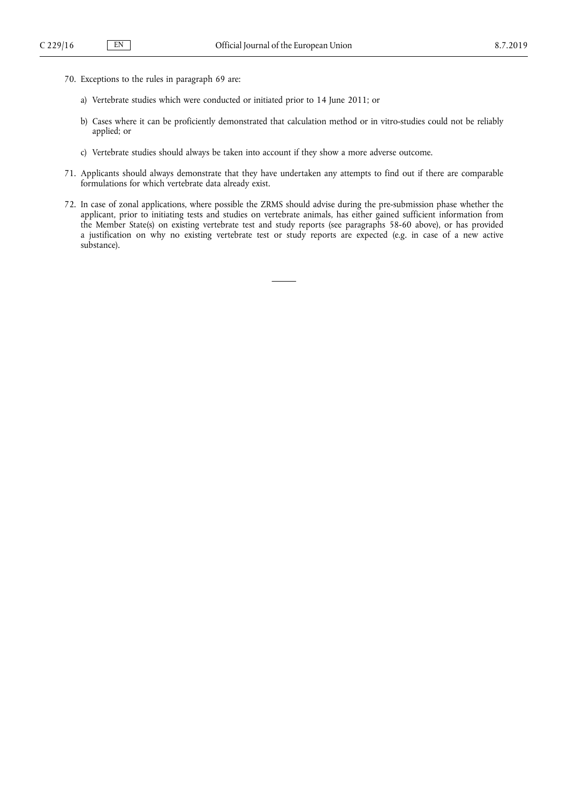- 70. Exceptions to the rules in paragraph 69 are:
	- a) Vertebrate studies which were conducted or initiated prior to 14 June 2011; or
	- b) Cases where it can be proficiently demonstrated that calculation method or in vitro-studies could not be reliably applied; or
	- c) Vertebrate studies should always be taken into account if they show a more adverse outcome.
- 71. Applicants should always demonstrate that they have undertaken any attempts to find out if there are comparable formulations for which vertebrate data already exist.
- 72. In case of zonal applications, where possible the ZRMS should advise during the pre-submission phase whether the applicant, prior to initiating tests and studies on vertebrate animals, has either gained sufficient information from the Member State(s) on existing vertebrate test and study reports (see paragraphs 58-60 above), or has provided a justification on why no existing vertebrate test or study reports are expected (e.g. in case of a new active substance).